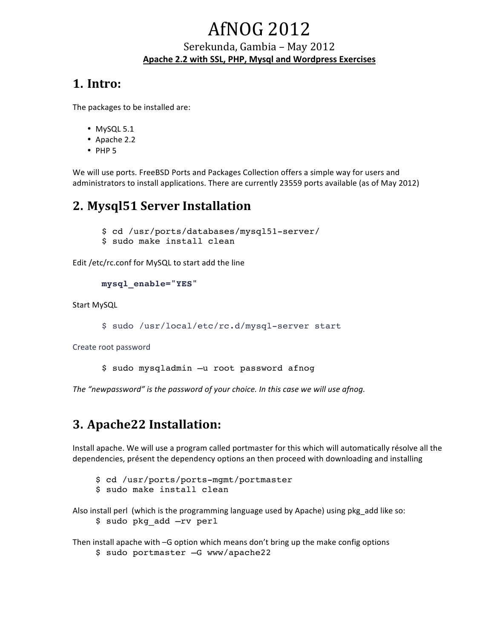# **AfNOG 2012**

# Serekunda, Gambia - May 2012 Apache 2.2 with SSL, PHP, Mysgl and Wordpress Exercises

# **1. Intro:**

The packages to be installed are:

- $\bullet$  MySQL 5.1
- $\bullet$  Apache 2.2
- $\cdot$  PHP 5

We will use ports. FreeBSD Ports and Packages Collection offers a simple way for users and administrators to install applications. There are currently 23559 ports available (as of May 2012)

# **2. Mysql51 Server Installation**

\$ cd /usr/ports/databases/mysql51-server/

\$ sudo make install clean

Edit /etc/rc.conf for MySQL to start add the line

```
mysql_enable="YES"
```
Start MySQL

```
$ sudo /usr/local/etc/rc.d/mysql-server start
```
Create root password

\$ sudo mysqladmin –u root password afnog

The "newpassword" is the password of your choice. In this case we will use afnog.

# **3. Apache22 Installation:**

Install apache. We will use a program called portmaster for this which will automatically résolve all the dependencies, présent the dependency options an then proceed with downloading and installing

- \$ cd /usr/ports/ports-mgmt/portmaster
- \$ sudo make install clean

Also install perl (which is the programming language used by Apache) using pkg add like so: \$ sudo pkg\_add –rv perl

Then install apache with  $-G$  option which means don't bring up the make config options

\$ sudo portmaster –G www/apache22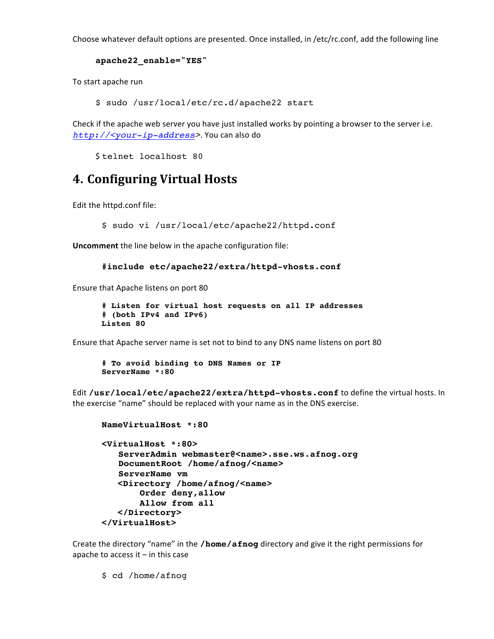Choose whatever default options are presented. Once installed, in /etc/rc.conf, add the following line

#### **apache22\_enable="YES"**

To start apache run

\$ sudo /usr/local/etc/rc.d/apache22 start

Check if the apache web server you have just installed works by pointing a browser to the server i.e. *http://<your-ip-address>*. You can also do

\$telnet localhost 80

# **4. Configuring Virtual Hosts**

Edit the httpd.conf file:

\$ sudo vi /usr/local/etc/apache22/httpd.conf

**Uncomment** the line below in the apache configuration file:

```
#include etc/apache22/extra/httpd-vhosts.conf
```
Ensure that Apache listens on port 80

```
# Listen for virtual host requests on all IP addresses 
# (both IPv4 and IPv6)
Listen 80
```
Ensure that Apache server name is set not to bind to any DNS name listens on port 80

```
# To avoid binding to DNS Names or IP 
ServerName *:80
```
Edit /usr/local/etc/apache22/extra/httpd-vhosts.conf to define the virtual hosts. In the exercise "name" should be replaced with your name as in the DNS exercise.

```
NameVirtualHost *:80 
<VirtualHost *:80>
   ServerAdmin webmaster@<name>.sse.ws.afnog.org
   DocumentRoot /home/afnog/<name>
   ServerName vm
    <Directory /home/afnog/<name>
        Order deny,allow
        Allow from all
    </Directory>
</VirtualHost>
```
Create the directory "name" in the **/home/afnog** directory and give it the right permissions for apache to access it  $-$  in this case

\$ cd /home/afnog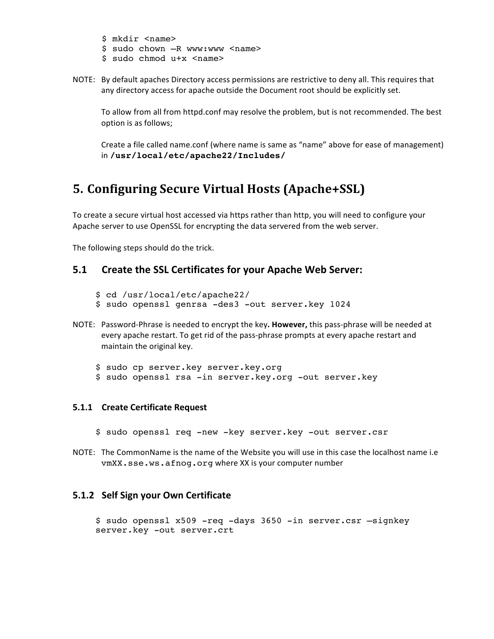\$ mkdir <name> \$ sudo chown -R www:www <name> \$ sudo chmod u+x <name>

NOTE: By default apaches Directory access permissions are restrictive to deny all. This requires that any directory access for apache outside the Document root should be explicitly set.

To allow from all from httpd.conf may resolve the problem, but is not recommended. The best option is as follows;

Create a file called name.conf (where name is same as "name" above for ease of management) in **/usr/local/etc/apache22/Includes/**

# **5. Configuring Secure Virtual Hosts (Apache+SSL)**

To create a secure virtual host accessed via https rather than http, you will need to configure your Apache server to use OpenSSL for encrypting the data servered from the web server.

The following steps should do the trick.

# **5.1** Create the SSL Certificates for your Apache Web Server:

- \$ cd /usr/local/etc/apache22/
- \$ sudo openssl genrsa -des3 -out server.key 1024
- NOTE: Password-Phrase is needed to encrypt the key. However, this pass-phrase will be needed at every apache restart. To get rid of the pass-phrase prompts at every apache restart and maintain the original key.
	- \$ sudo cp server.key server.key.org \$ sudo openssl rsa -in server.key.org -out server.key

### **5.1.1 Create Certificate Request**

- \$ sudo openssl req -new -key server.key -out server.csr
- NOTE: The CommonName is the name of the Website you will use in this case the localhost name i.e vmXX.sse.ws.afnog.org where XX is your computer number

### **5.1.2 Self Sign your Own Certificate**

```
$ sudo openssl x509 -req -days 3650 -in server.csr –signkey 
server.key -out server.crt
```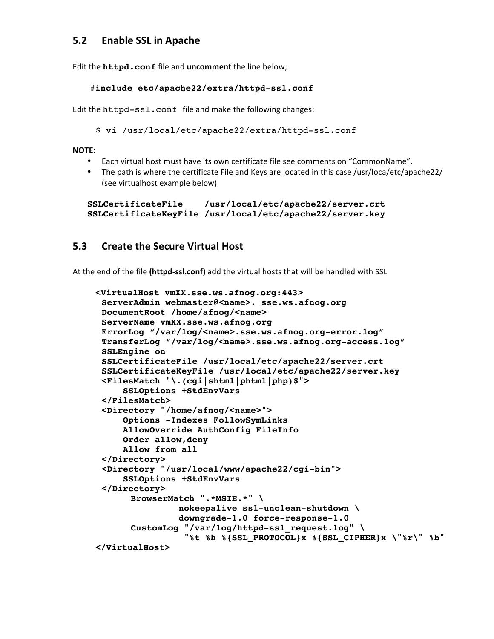# **5.2 Enable SSL in Apache**

Edit the **httpd.conf** file and uncomment the line below;

#### **#include etc/apache22/extra/httpd-ssl.conf**

Edit the httpd-ssl.conf file and make the following changes:

\$ vi /usr/local/etc/apache22/extra/httpd-ssl.conf

#### **NOTE:**

- Each virtual host must have its own certificate file see comments on "CommonName".
- The path is where the certificate File and Keys are located in this case /usr/loca/etc/apache22/ (see virtualhost example below)

```
SSLCertificateFile /usr/local/etc/apache22/server.crt
SSLCertificateKeyFile /usr/local/etc/apache22/server.key
```
# **5.3** Create the Secure Virtual Host

At the end of the file (httpd-ssl.conf) add the virtual hosts that will be handled with SSL

```
<VirtualHost vmXX.sse.ws.afnog.org:443>
 ServerAdmin webmaster@<name>. sse.ws.afnog.org
DocumentRoot /home/afnog/<name>
 ServerName vmXX.sse.ws.afnog.org
ErrorLog "/var/log/<name>.sse.ws.afnog.org-error.log"
TransferLog "/var/log/<name>.sse.ws.afnog.org-access.log"
 SSLEngine on
SSLCertificateFile /usr/local/etc/apache22/server.crt
 SSLCertificateKeyFile /usr/local/etc/apache22/server.key
<FilesMatch "\.(cgi|shtml|phtml|php)$">
      SSLOptions +StdEnvVars
 </FilesMatch>
 <Directory "/home/afnog/<name>">
      Options -Indexes FollowSymLinks
      AllowOverride AuthConfig FileInfo
      Order allow,deny
      Allow from all
 </Directory>
 <Directory "/usr/local/www/apache22/cgi-bin">
      SSLOptions +StdEnvVars
 </Directory>
      BrowserMatch ".*MSIE.*" \
                nokeepalive ssl-unclean-shutdown \
                downgrade-1.0 force-response-1.0
      CustomLog "/var/log/httpd-ssl_request.log" \
                  "%t %h %{SSL_PROTOCOL}x %{SSL_CIPHER}x \"%r\" %b"
</VirtualHost>
```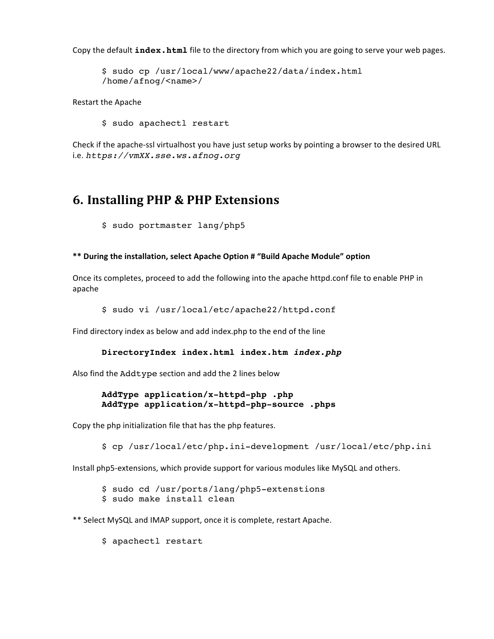Copy the default **index.html** file to the directory from which you are going to serve your web pages.

\$ sudo cp /usr/local/www/apache22/data/index.html /home/afnog/<name>/

Restart the Apache

\$ sudo apachectl restart

Check if the apache-ssl virtualhost you have just setup works by pointing a browser to the desired URL i.e. *https://vmXX.sse.ws.afnog.org*

# **6. Installing PHP & PHP Extensions**

\$ sudo portmaster lang/php5

#### \*\* During the installation, select Apache Option # "Build Apache Module" option

Once its completes, proceed to add the following into the apache httpd.conf file to enable PHP in apache

```
$ sudo vi /usr/local/etc/apache22/httpd.conf
```
Find directory index as below and add index.php to the end of the line

#### **DirectoryIndex index.html index.htm** *index.php*

Also find the Addtype section and add the 2 lines below

#### **AddType application/x-httpd-php .php AddType application/x-httpd-php-source .phps**

Copy the php initialization file that has the php features.

\$ cp /usr/local/etc/php.ini-development /usr/local/etc/php.ini

Install php5-extensions, which provide support for various modules like MySQL and others.

\$ sudo cd /usr/ports/lang/php5-extenstions \$ sudo make install clean

\*\* Select MySQL and IMAP support, once it is complete, restart Apache.

\$ apachectl restart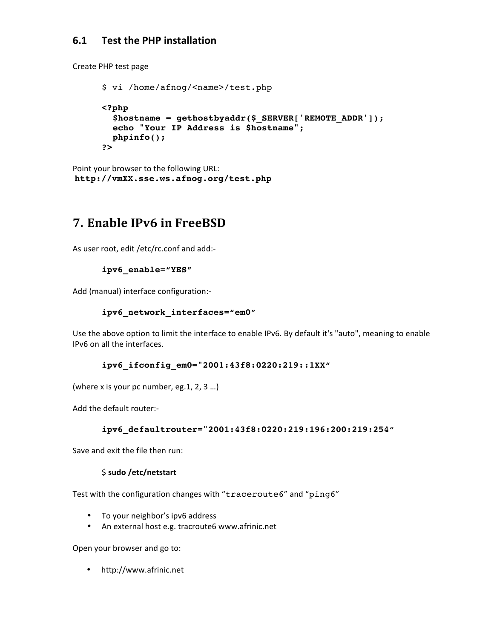# **6.1 Test the PHP installation**

Create PHP test page

```
$ vi /home/afnog/<name>/test.php
<?php
  $hostname = gethostbyaddr($_SERVER['REMOTE_ADDR']);
  echo "Your IP Address is $hostname";
  phpinfo();
?>
```
Point your browser to the following URL: **http://vmXX.sse.ws.afnog.org/test.php**

# **7. Enable IPv6 in FreeBSD**

As user root, edit /etc/rc.conf and add:-

## **ipv6\_enable="YES"**

Add (manual) interface configuration:-

### **ipv6\_network\_interfaces="em0"**

Use the above option to limit the interface to enable IPv6. By default it's "auto", meaning to enable IPv6 on all the interfaces.

### **ipv6\_ifconfig\_em0="2001:43f8:0220:219::1XX"**

(where x is your pc number, eg. 1, 2, 3 ...)

Add the default router:-

### **ipv6\_defaultrouter="2001:43f8:0220:219:196:200:219:254"**

Save and exit the file then run:

### \$ **sudo /etc/netstart**

Test with the configuration changes with "traceroute6" and "ping6"

- To your neighbor's ipv6 address
- An external host e.g. tracroute6 www.afrinic.net

Open your browser and go to:

• http://www.afrinic.net